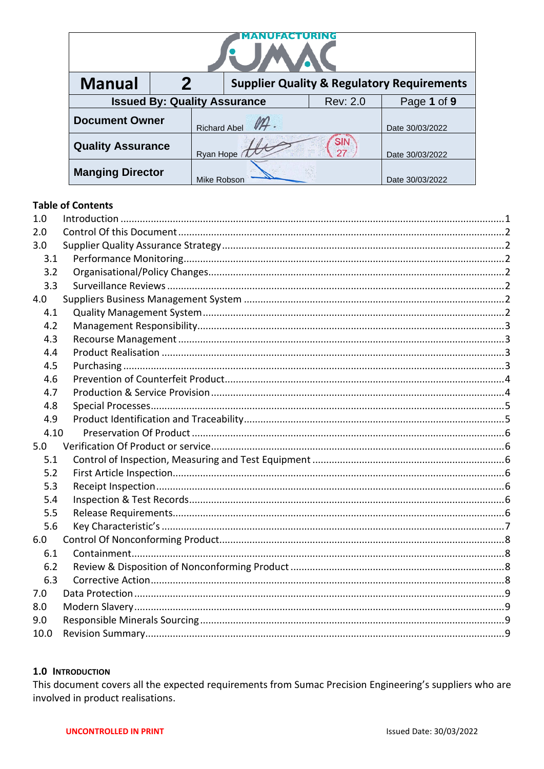| <b>Manual</b>                                          | 2<br><b>Supplier Quality &amp; Regulatory Requirements</b> |                     |  |                  |                 |
|--------------------------------------------------------|------------------------------------------------------------|---------------------|--|------------------|-----------------|
| <b>Issued By: Quality Assurance</b><br><b>Rev: 2.0</b> |                                                            |                     |  |                  | Page 1 of 9     |
| <b>Document Owner</b>                                  |                                                            | <b>Richard Abel</b> |  | Date 30/03/2022  |                 |
| <b>Quality Assurance</b>                               |                                                            | Ryan Hope           |  | <b>SIN</b><br>27 | Date 30/03/2022 |
| <b>Manging Director</b>                                |                                                            | Mike Robson         |  |                  | Date 30/03/2022 |

# **Table of Contents**

| 1.0  |  |
|------|--|
| 2.0  |  |
| 3.0  |  |
| 3.1  |  |
| 3.2  |  |
| 3.3  |  |
| 4.0  |  |
| 4.1  |  |
| 4.2  |  |
| 4.3  |  |
| 4.4  |  |
| 4.5  |  |
| 4.6  |  |
| 4.7  |  |
| 4.8  |  |
| 4.9  |  |
| 4.10 |  |
| 5.0  |  |
| 5.1  |  |
| 5.2  |  |
| 5.3  |  |
| 5.4  |  |
| 5.5  |  |
| 5.6  |  |
| 6.0  |  |
| 6.1  |  |
| 6.2  |  |
| 6.3  |  |
| 7.0  |  |
| 8.0  |  |
| 9.0  |  |
| 10.0 |  |

### <span id="page-0-0"></span>1.0 INTRODUCTION

This document covers all the expected requirements from Sumac Precision Engineering's suppliers who are involved in product realisations.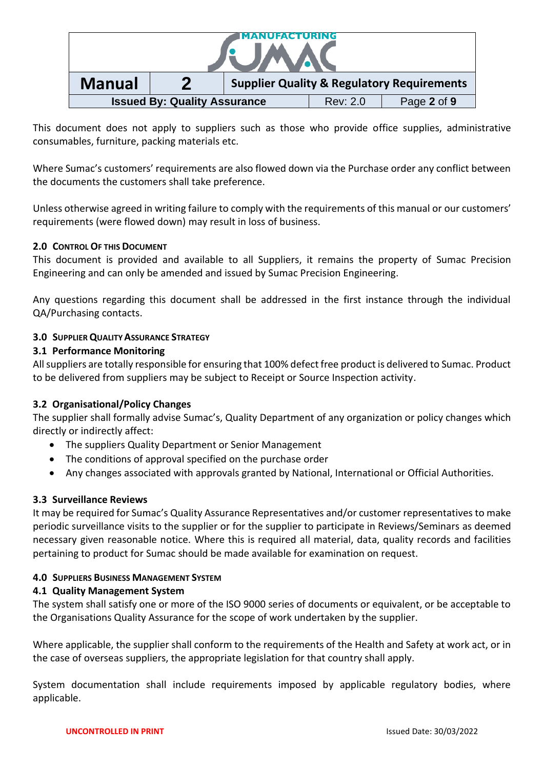| <b>Manual</b><br><b>Supplier Quality &amp; Regulatory Requirements</b> |  |  |  |  |
|------------------------------------------------------------------------|--|--|--|--|
| <b>Issued By: Quality Assurance</b><br>Page 2 of 9<br>Rev: 2.0         |  |  |  |  |

This document does not apply to suppliers such as those who provide office supplies, administrative consumables, furniture, packing materials etc.

Where Sumac's customers' requirements are also flowed down via the Purchase order any conflict between the documents the customers shall take preference.

Unless otherwise agreed in writing failure to comply with the requirements of this manual or our customers' requirements (were flowed down) may result in loss of business.

## <span id="page-1-0"></span>**2.0 CONTROL OF THIS DOCUMENT**

This document is provided and available to all Suppliers, it remains the property of Sumac Precision Engineering and can only be amended and issued by Sumac Precision Engineering.

Any questions regarding this document shall be addressed in the first instance through the individual QA/Purchasing contacts.

## <span id="page-1-1"></span>**3.0 SUPPLIERQUALITYASSURANCE STRATEGY**

## <span id="page-1-2"></span>**3.1 Performance Monitoring**

All suppliers are totally responsible for ensuring that 100% defect free product is delivered to Sumac. Product to be delivered from suppliers may be subject to Receipt or Source Inspection activity.

# <span id="page-1-3"></span>**3.2 Organisational/Policy Changes**

The supplier shall formally advise Sumac's, Quality Department of any organization or policy changes which directly or indirectly affect:

- The suppliers Quality Department or Senior Management
- The conditions of approval specified on the purchase order
- Any changes associated with approvals granted by National, International or Official Authorities.

### <span id="page-1-4"></span>**3.3 Surveillance Reviews**

It may be required for Sumac's Quality Assurance Representatives and/or customer representatives to make periodic surveillance visits to the supplier or for the supplier to participate in Reviews/Seminars as deemed necessary given reasonable notice. Where this is required all material, data, quality records and facilities pertaining to product for Sumac should be made available for examination on request.

### <span id="page-1-5"></span>**4.0 SUPPLIERS BUSINESS MANAGEMENT SYSTEM**

### <span id="page-1-6"></span>**4.1 Quality Management System**

The system shall satisfy one or more of the ISO 9000 series of documents or equivalent, or be acceptable to the Organisations Quality Assurance for the scope of work undertaken by the supplier.

Where applicable, the supplier shall conform to the requirements of the Health and Safety at work act, or in the case of overseas suppliers, the appropriate legislation for that country shall apply.

System documentation shall include requirements imposed by applicable regulatory bodies, where applicable.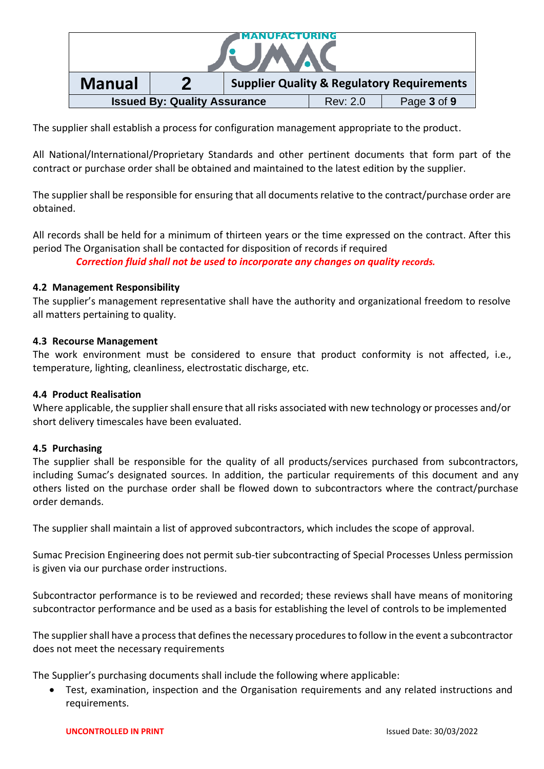| UUFACTURING                                                            |  |  |  |  |
|------------------------------------------------------------------------|--|--|--|--|
| <b>Manual</b><br><b>Supplier Quality &amp; Regulatory Requirements</b> |  |  |  |  |
| <b>Issued By: Quality Assurance</b><br>Page 3 of 9<br>Rev: 2.0         |  |  |  |  |

The supplier shall establish a process for configuration management appropriate to the product.

All National/International/Proprietary Standards and other pertinent documents that form part of the contract or purchase order shall be obtained and maintained to the latest edition by the supplier.

The supplier shall be responsible for ensuring that all documents relative to the contract/purchase order are obtained.

All records shall be held for a minimum of thirteen years or the time expressed on the contract. After this period The Organisation shall be contacted for disposition of records if required

*Correction fluid shall not be used to incorporate any changes on quality records.*

### <span id="page-2-0"></span>**4.2 Management Responsibility**

The supplier's management representative shall have the authority and organizational freedom to resolve all matters pertaining to quality.

#### <span id="page-2-1"></span>**4.3 Recourse Management**

The work environment must be considered to ensure that product conformity is not affected, i.e., temperature, lighting, cleanliness, electrostatic discharge, etc.

### <span id="page-2-2"></span>**4.4 Product Realisation**

Where applicable, the supplier shall ensure that all risks associated with new technology or processes and/or short delivery timescales have been evaluated.

#### <span id="page-2-3"></span>**4.5 Purchasing**

The supplier shall be responsible for the quality of all products/services purchased from subcontractors, including Sumac's designated sources. In addition, the particular requirements of this document and any others listed on the purchase order shall be flowed down to subcontractors where the contract/purchase order demands.

The supplier shall maintain a list of approved subcontractors, which includes the scope of approval.

Sumac Precision Engineering does not permit sub-tier subcontracting of Special Processes Unless permission is given via our purchase order instructions.

Subcontractor performance is to be reviewed and recorded; these reviews shall have means of monitoring subcontractor performance and be used as a basis for establishing the level of controls to be implemented

The supplier shall have a process that defines the necessary procedures to follow in the event a subcontractor does not meet the necessary requirements

The Supplier's purchasing documents shall include the following where applicable:

• Test, examination, inspection and the Organisation requirements and any related instructions and requirements.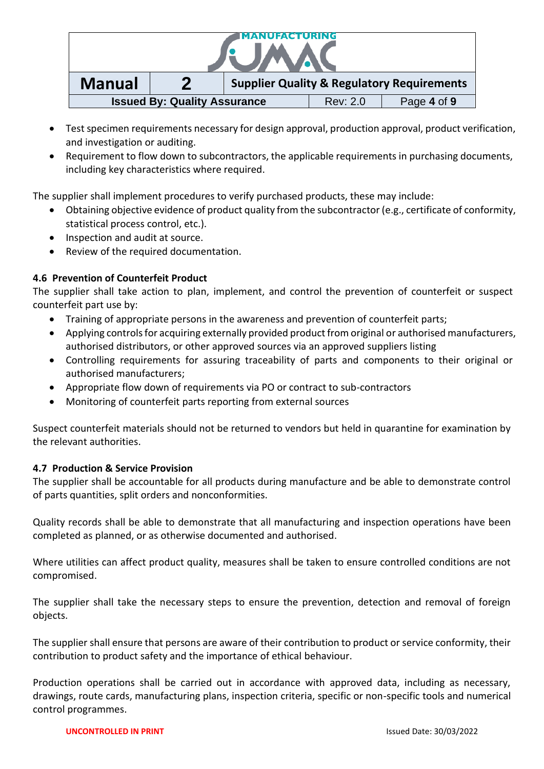| NUFACTURING                                                            |  |  |  |  |
|------------------------------------------------------------------------|--|--|--|--|
| <b>Manual</b><br><b>Supplier Quality &amp; Regulatory Requirements</b> |  |  |  |  |
| <b>Issued By: Quality Assurance</b><br>Page 4 of 9<br>Rev: 2.0         |  |  |  |  |

- Test specimen requirements necessary for design approval, production approval, product verification, and investigation or auditing.
- Requirement to flow down to subcontractors, the applicable requirements in purchasing documents, including key characteristics where required.

The supplier shall implement procedures to verify purchased products, these may include:

- Obtaining objective evidence of product quality from the subcontractor (e.g., certificate of conformity, statistical process control, etc.).
- Inspection and audit at source.
- Review of the required documentation.

# <span id="page-3-0"></span>**4.6 Prevention of Counterfeit Product**

The supplier shall take action to plan, implement, and control the prevention of counterfeit or suspect counterfeit part use by:

- Training of appropriate persons in the awareness and prevention of counterfeit parts;
- Applying controls for acquiring externally provided product from original or authorised manufacturers, authorised distributors, or other approved sources via an approved suppliers listing
- Controlling requirements for assuring traceability of parts and components to their original or authorised manufacturers;
- Appropriate flow down of requirements via PO or contract to sub-contractors
- Monitoring of counterfeit parts reporting from external sources

Suspect counterfeit materials should not be returned to vendors but held in quarantine for examination by the relevant authorities.

# <span id="page-3-1"></span>**4.7 Production & Service Provision**

The supplier shall be accountable for all products during manufacture and be able to demonstrate control of parts quantities, split orders and nonconformities.

Quality records shall be able to demonstrate that all manufacturing and inspection operations have been completed as planned, or as otherwise documented and authorised.

Where utilities can affect product quality, measures shall be taken to ensure controlled conditions are not compromised.

The supplier shall take the necessary steps to ensure the prevention, detection and removal of foreign objects.

The supplier shall ensure that persons are aware of their contribution to product or service conformity, their contribution to product safety and the importance of ethical behaviour.

Production operations shall be carried out in accordance with approved data, including as necessary, drawings, route cards, manufacturing plans, inspection criteria, specific or non-specific tools and numerical control programmes.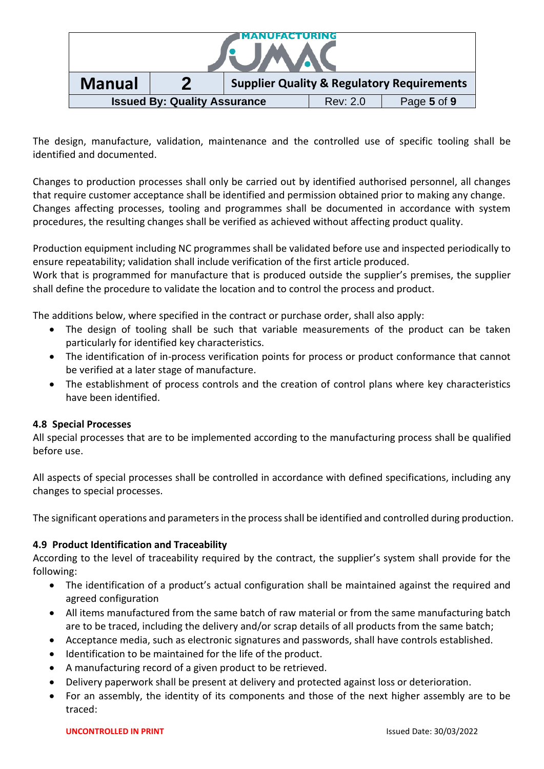| NUFACTURING                                                            |  |  |  |  |
|------------------------------------------------------------------------|--|--|--|--|
| <b>Manual</b><br><b>Supplier Quality &amp; Regulatory Requirements</b> |  |  |  |  |
| <b>Issued By: Quality Assurance</b><br>Page 5 of 9<br>Rev: 2.0         |  |  |  |  |

The design, manufacture, validation, maintenance and the controlled use of specific tooling shall be identified and documented.

Changes to production processes shall only be carried out by identified authorised personnel, all changes that require customer acceptance shall be identified and permission obtained prior to making any change. Changes affecting processes, tooling and programmes shall be documented in accordance with system procedures, the resulting changes shall be verified as achieved without affecting product quality.

Production equipment including NC programmes shall be validated before use and inspected periodically to ensure repeatability; validation shall include verification of the first article produced.

Work that is programmed for manufacture that is produced outside the supplier's premises, the supplier shall define the procedure to validate the location and to control the process and product.

The additions below, where specified in the contract or purchase order, shall also apply:

- The design of tooling shall be such that variable measurements of the product can be taken particularly for identified key characteristics.
- The identification of in-process verification points for process or product conformance that cannot be verified at a later stage of manufacture.
- The establishment of process controls and the creation of control plans where key characteristics have been identified.

# <span id="page-4-0"></span>**4.8 Special Processes**

All special processes that are to be implemented according to the manufacturing process shall be qualified before use.

All aspects of special processes shall be controlled in accordance with defined specifications, including any changes to special processes.

The significant operations and parameters in the process shall be identified and controlled during production.

# <span id="page-4-1"></span>**4.9 Product Identification and Traceability**

According to the level of traceability required by the contract, the supplier's system shall provide for the following:

- The identification of a product's actual configuration shall be maintained against the required and agreed configuration
- All items manufactured from the same batch of raw material or from the same manufacturing batch are to be traced, including the delivery and/or scrap details of all products from the same batch;
- Acceptance media, such as electronic signatures and passwords, shall have controls established.
- Identification to be maintained for the life of the product.
- A manufacturing record of a given product to be retrieved.
- Delivery paperwork shall be present at delivery and protected against loss or deterioration.
- For an assembly, the identity of its components and those of the next higher assembly are to be traced: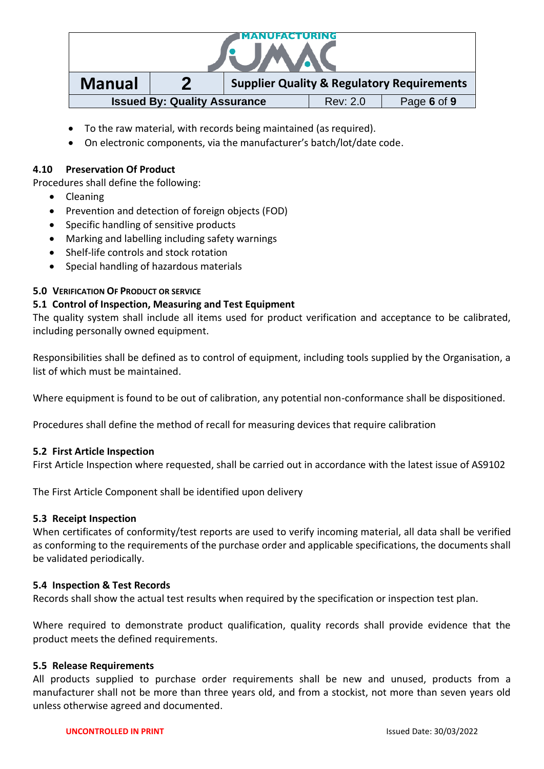| ANUFACTURING                                                          |                                                       |  |  |  |
|-----------------------------------------------------------------------|-------------------------------------------------------|--|--|--|
| <b>Manual</b>                                                         | <b>Supplier Quality &amp; Regulatory Requirements</b> |  |  |  |
| <b>Issued By: Quality Assurance</b><br>Page 6 of 9<br><b>Rev: 2.0</b> |                                                       |  |  |  |

- To the raw material, with records being maintained (as required).
- On electronic components, via the manufacturer's batch/lot/date code.

## <span id="page-5-0"></span>**4.10 Preservation Of Product**

Procedures shall define the following:

- Cleaning
- Prevention and detection of foreign objects (FOD)
- Specific handling of sensitive products
- Marking and labelling including safety warnings
- Shelf-life controls and stock rotation
- Special handling of hazardous materials

## <span id="page-5-1"></span>**5.0 VERIFICATION OF PRODUCT OR SERVICE**

### <span id="page-5-2"></span>**5.1 Control of Inspection, Measuring and Test Equipment**

The quality system shall include all items used for product verification and acceptance to be calibrated, including personally owned equipment.

Responsibilities shall be defined as to control of equipment, including tools supplied by the Organisation, a list of which must be maintained.

Where equipment is found to be out of calibration, any potential non-conformance shall be dispositioned.

Procedures shall define the method of recall for measuring devices that require calibration

### <span id="page-5-3"></span>**5.2 First Article Inspection**

First Article Inspection where requested, shall be carried out in accordance with the latest issue of AS9102

The First Article Component shall be identified upon delivery

### <span id="page-5-4"></span>**5.3 Receipt Inspection**

When certificates of conformity/test reports are used to verify incoming material, all data shall be verified as conforming to the requirements of the purchase order and applicable specifications, the documents shall be validated periodically.

### <span id="page-5-5"></span>**5.4 Inspection & Test Records**

Records shall show the actual test results when required by the specification or inspection test plan.

Where required to demonstrate product qualification, quality records shall provide evidence that the product meets the defined requirements.

### <span id="page-5-6"></span>**5.5 Release Requirements**

All products supplied to purchase order requirements shall be new and unused, products from a manufacturer shall not be more than three years old, and from a stockist, not more than seven years old unless otherwise agreed and documented.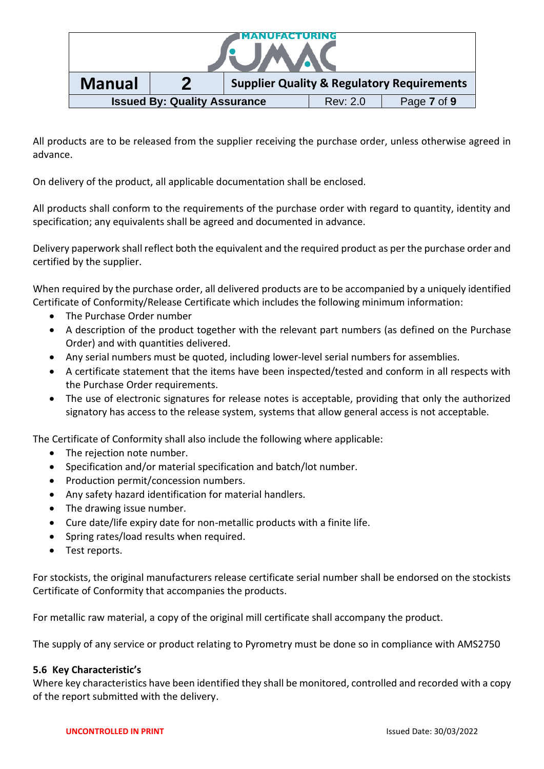| ANUFACTURING                                                           |  |  |                 |             |
|------------------------------------------------------------------------|--|--|-----------------|-------------|
| <b>Manual</b><br><b>Supplier Quality &amp; Regulatory Requirements</b> |  |  |                 |             |
| <b>Issued By: Quality Assurance</b>                                    |  |  | <b>Rev: 2.0</b> | Page 7 of 9 |

All products are to be released from the supplier receiving the purchase order, unless otherwise agreed in advance.

On delivery of the product, all applicable documentation shall be enclosed.

All products shall conform to the requirements of the purchase order with regard to quantity, identity and specification; any equivalents shall be agreed and documented in advance.

Delivery paperwork shall reflect both the equivalent and the required product as per the purchase order and certified by the supplier.

When required by the purchase order, all delivered products are to be accompanied by a uniquely identified Certificate of Conformity/Release Certificate which includes the following minimum information:

- The Purchase Order number
- A description of the product together with the relevant part numbers (as defined on the Purchase Order) and with quantities delivered.
- Any serial numbers must be quoted, including lower-level serial numbers for assemblies.
- A certificate statement that the items have been inspected/tested and conform in all respects with the Purchase Order requirements.
- The use of electronic signatures for release notes is acceptable, providing that only the authorized signatory has access to the release system, systems that allow general access is not acceptable.

The Certificate of Conformity shall also include the following where applicable:

- The rejection note number.
- Specification and/or material specification and batch/lot number.
- Production permit/concession numbers.
- Any safety hazard identification for material handlers.
- The drawing issue number.
- Cure date/life expiry date for non-metallic products with a finite life.
- Spring rates/load results when required.
- Test reports.

For stockists, the original manufacturers release certificate serial number shall be endorsed on the stockists Certificate of Conformity that accompanies the products.

For metallic raw material, a copy of the original mill certificate shall accompany the product.

The supply of any service or product relating to Pyrometry must be done so in compliance with AMS2750

### <span id="page-6-0"></span>**5.6 Key Characteristic's**

Where key characteristics have been identified they shall be monitored, controlled and recorded with a copy of the report submitted with the delivery.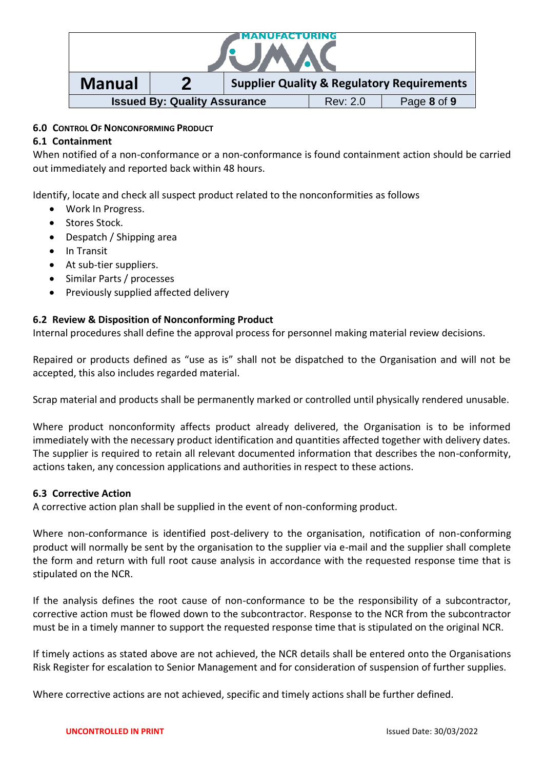

### <span id="page-7-0"></span>**6.0 CONTROL OF NONCONFORMING PRODUCT**

### <span id="page-7-1"></span>**6.1 Containment**

When notified of a non-conformance or a non-conformance is found containment action should be carried out immediately and reported back within 48 hours.

Identify, locate and check all suspect product related to the nonconformities as follows

- Work In Progress.
- Stores Stock.
- Despatch / Shipping area
- In Transit
- At sub-tier suppliers.
- Similar Parts / processes
- Previously supplied affected delivery

### <span id="page-7-2"></span>**6.2 Review & Disposition of Nonconforming Product**

Internal procedures shall define the approval process for personnel making material review decisions.

Repaired or products defined as "use as is" shall not be dispatched to the Organisation and will not be accepted, this also includes regarded material.

Scrap material and products shall be permanently marked or controlled until physically rendered unusable.

Where product nonconformity affects product already delivered, the Organisation is to be informed immediately with the necessary product identification and quantities affected together with delivery dates. The supplier is required to retain all relevant documented information that describes the non-conformity, actions taken, any concession applications and authorities in respect to these actions.

### <span id="page-7-3"></span>**6.3 Corrective Action**

A corrective action plan shall be supplied in the event of non-conforming product.

Where non-conformance is identified post-delivery to the organisation, notification of non-conforming product will normally be sent by the organisation to the supplier via e-mail and the supplier shall complete the form and return with full root cause analysis in accordance with the requested response time that is stipulated on the NCR.

If the analysis defines the root cause of non-conformance to be the responsibility of a subcontractor, corrective action must be flowed down to the subcontractor. Response to the NCR from the subcontractor must be in a timely manner to support the requested response time that is stipulated on the original NCR.

If timely actions as stated above are not achieved, the NCR details shall be entered onto the Organisations Risk Register for escalation to Senior Management and for consideration of suspension of further supplies.

Where corrective actions are not achieved, specific and timely actions shall be further defined.